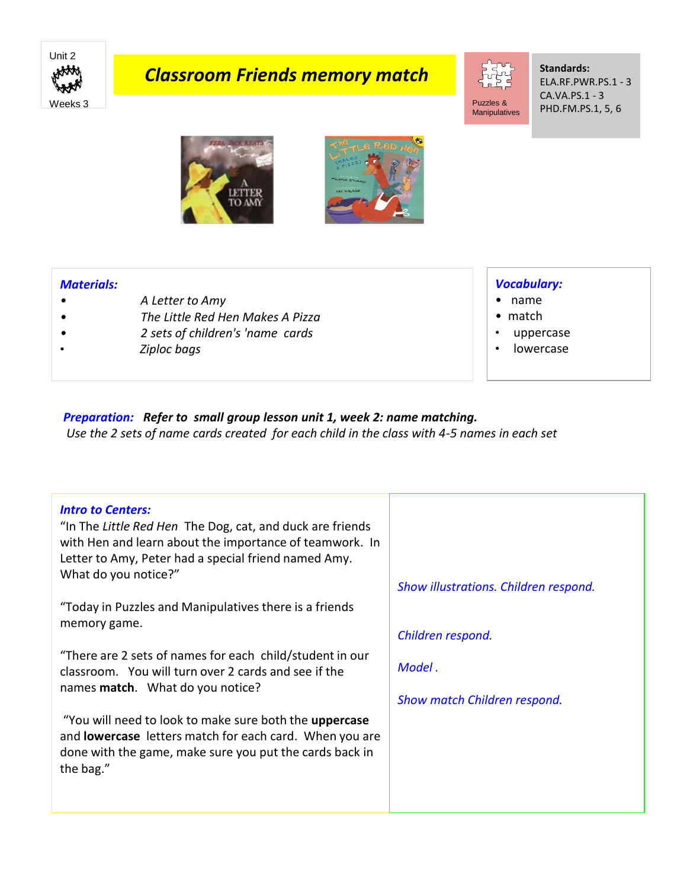

# *Classroom Friends memory match*



#### **Standards:** ELA.RF.PWR.PS.1 - 3 CA.VA.PS.1 - 3 PHD.FM.PS.1, 5, 6





### *Materials:*

- *• A Letter to Amy*
- *• The Little Red Hen Makes A Pizza*
- *• 2 sets of children's 'name cards*
- *Ziploc bags*

### *Vocabulary:*

- name
- match
- uppercase
- lowercase

## *Preparation: Refer to small group lesson unit 1, week 2: name matching.*

*Use the 2 sets of name cards created for each child in the class with 4-5 names in each set*

| <b>Intro to Centers:</b><br>"In The Little Red Hen The Dog, cat, and duck are friends                                     |                                       |
|---------------------------------------------------------------------------------------------------------------------------|---------------------------------------|
| with Hen and learn about the importance of teamwork. In                                                                   |                                       |
| Letter to Amy, Peter had a special friend named Amy.                                                                      |                                       |
| What do you notice?"                                                                                                      | Show illustrations. Children respond. |
|                                                                                                                           |                                       |
| "Today in Puzzles and Manipulatives there is a friends<br>memory game.                                                    |                                       |
|                                                                                                                           | Children respond.                     |
| "There are 2 sets of names for each child/student in our                                                                  |                                       |
| classroom. You will turn over 2 cards and see if the                                                                      | Model.                                |
| names <b>match</b> . What do you notice?                                                                                  | Show match Children respond.          |
|                                                                                                                           |                                       |
| "You will need to look to make sure both the <b>uppercase</b>                                                             |                                       |
| and <b>lowercase</b> letters match for each card. When you are<br>done with the game, make sure you put the cards back in |                                       |
| the bag."                                                                                                                 |                                       |
|                                                                                                                           |                                       |
|                                                                                                                           |                                       |